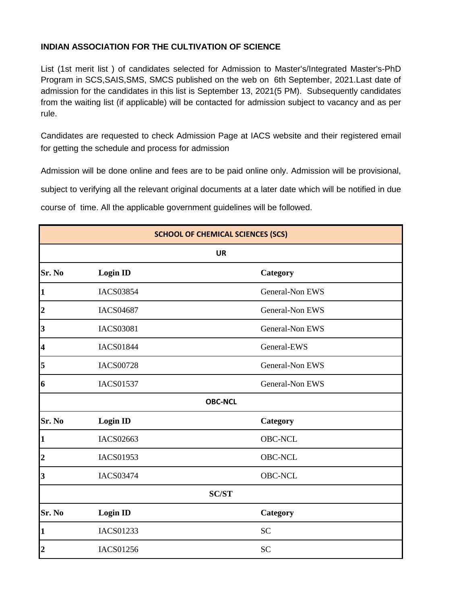## **INDIAN ASSOCIATION FOR THE CULTIVATION OF SCIENCE**

List (1st merit list ) of candidates selected for Admission to Master's/Integrated Master's-PhD Program in SCS,SAIS,SMS, SMCS published on the web on 6th September, 2021.Last date of admission for the candidates in this list is September 13, 2021(5 PM). Subsequently candidates from the waiting list (if applicable) will be contacted for admission subject to vacancy and as per rule.

Candidates are requested to check Admission Page at IACS website and their registered email for getting the schedule and process for admission

Admission will be done online and fees are to be paid online only. Admission will be provisional, subject to verifying all the relevant original documents at a later date which will be notified in due course of time. All the applicable government guidelines will be followed.

| <b>SCHOOL OF CHEMICAL SCIENCES (SCS)</b> |                  |                        |
|------------------------------------------|------------------|------------------------|
| <b>UR</b>                                |                  |                        |
| Sr. No                                   | <b>Login ID</b>  | Category               |
| $\mathbf{1}$                             | <b>IACS03854</b> | General-Non EWS        |
| $\overline{2}$                           | <b>IACS04687</b> | General-Non EWS        |
| $\overline{\mathbf{3}}$                  | <b>IACS03081</b> | General-Non EWS        |
| $\overline{\mathbf{4}}$                  | <b>IACS01844</b> | General-EWS            |
| 5                                        | <b>IACS00728</b> | General-Non EWS        |
| 6                                        | <b>IACS01537</b> | <b>General-Non EWS</b> |
|                                          |                  | <b>OBC-NCL</b>         |
| Sr. No                                   | <b>Login ID</b>  | Category               |
| $\mathbf{1}$                             | <b>IACS02663</b> | <b>OBC-NCL</b>         |
| $\boldsymbol{2}$                         | <b>IACS01953</b> | <b>OBC-NCL</b>         |
| 3                                        | <b>IACS03474</b> | <b>OBC-NCL</b>         |
| <b>SC/ST</b>                             |                  |                        |
| Sr. No                                   | <b>Login ID</b>  | Category               |
| $\mathbf{1}$                             | <b>IACS01233</b> | <b>SC</b>              |
| $\overline{2}$                           | <b>IACS01256</b> | <b>SC</b>              |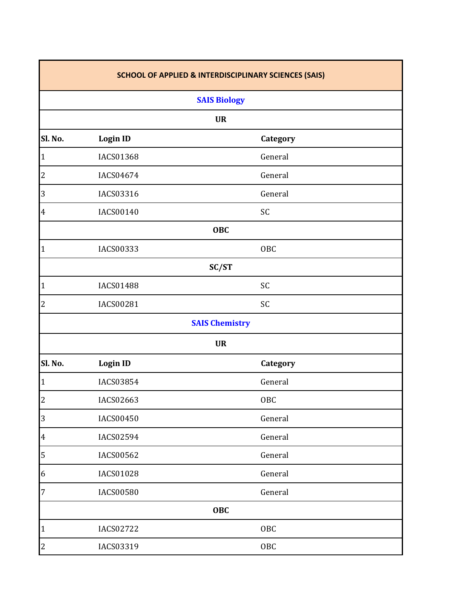| <b>SCHOOL OF APPLIED &amp; INTERDISCIPLINARY SCIENCES (SAIS)</b> |                     |                       |  |  |
|------------------------------------------------------------------|---------------------|-----------------------|--|--|
|                                                                  | <b>SAIS Biology</b> |                       |  |  |
|                                                                  |                     | <b>UR</b>             |  |  |
| Sl. No.                                                          | <b>Login ID</b>     | Category              |  |  |
| $\mathbf{1}$                                                     | IACS01368           | General               |  |  |
| $\overline{c}$                                                   | IACS04674           | General               |  |  |
| 3                                                                | IACS03316           | General               |  |  |
| $\overline{4}$                                                   | IACS00140           | SC                    |  |  |
|                                                                  | <b>OBC</b>          |                       |  |  |
| $\mathbf 1$                                                      | IACS00333           | <b>OBC</b>            |  |  |
|                                                                  |                     | SC/ST                 |  |  |
| $\mathbf{1}$                                                     | <b>IACS01488</b>    | SC                    |  |  |
| $\overline{c}$                                                   | IACS00281           | SC                    |  |  |
|                                                                  |                     | <b>SAIS Chemistry</b> |  |  |
|                                                                  |                     | <b>UR</b>             |  |  |
| Sl. No.                                                          | <b>Login ID</b>     | Category              |  |  |
| $\mathbf{1}$                                                     | IACS03854           | General               |  |  |
| $\overline{c}$                                                   | IACS02663           | OBC                   |  |  |
| 3                                                                | <b>IACS00450</b>    | General               |  |  |
| $\overline{4}$                                                   | IACS02594           | General               |  |  |
| 5                                                                | IACS00562           | General               |  |  |
| $\boldsymbol{6}$                                                 | <b>IACS01028</b>    | General               |  |  |
| $\overline{7}$                                                   | <b>IACS00580</b>    | General               |  |  |
|                                                                  |                     | <b>OBC</b>            |  |  |
| $\mathbf{1}$                                                     | <b>IACS02722</b>    | <b>OBC</b>            |  |  |
| $\overline{c}$                                                   | IACS03319           | <b>OBC</b>            |  |  |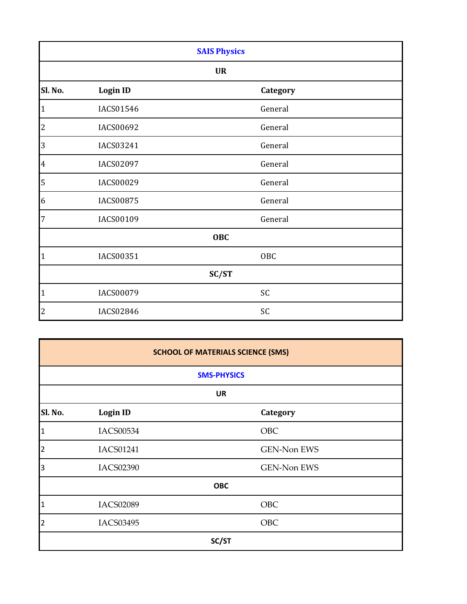| <b>SAIS Physics</b> |                  |            |  |  |
|---------------------|------------------|------------|--|--|
| <b>UR</b>           |                  |            |  |  |
| Sl. No.             | <b>Login ID</b>  | Category   |  |  |
| $\mathbf{1}$        | IACS01546        | General    |  |  |
| $\overline{c}$      | IACS00692        | General    |  |  |
| 3                   | IACS03241        | General    |  |  |
| $\overline{4}$      | IACS02097        | General    |  |  |
| 5                   | IACS00029        | General    |  |  |
| 6                   | <b>IACS00875</b> | General    |  |  |
| $\overline{7}$      | IACS00109        | General    |  |  |
|                     | <b>OBC</b>       |            |  |  |
| $\mathbf{1}$        | IACS00351        | <b>OBC</b> |  |  |
| SC/ST               |                  |            |  |  |
| $\mathbf 1$         | <b>IACS00079</b> | SC         |  |  |
| $\overline{2}$      | IACS02846        | SC         |  |  |

| <b>SCHOOL OF MATERIALS SCIENCE (SMS)</b> |                  |             |  |
|------------------------------------------|------------------|-------------|--|
| <b>SMS-PHYSICS</b>                       |                  |             |  |
| <b>UR</b>                                |                  |             |  |
| Sl. No.                                  | <b>Login ID</b>  | Category    |  |
| $\mathbf{1}$                             | <b>IACS00534</b> | OBC         |  |
| $\overline{2}$                           | <b>IACS01241</b> | GEN-Non EWS |  |
| 3                                        | <b>IACS02390</b> | GEN-Non EWS |  |
|                                          |                  | <b>OBC</b>  |  |
| $\mathbf{1}$                             | <b>IACS02089</b> | <b>OBC</b>  |  |
| $\overline{2}$                           | <b>IACS03495</b> | OBC         |  |
| SC/ST                                    |                  |             |  |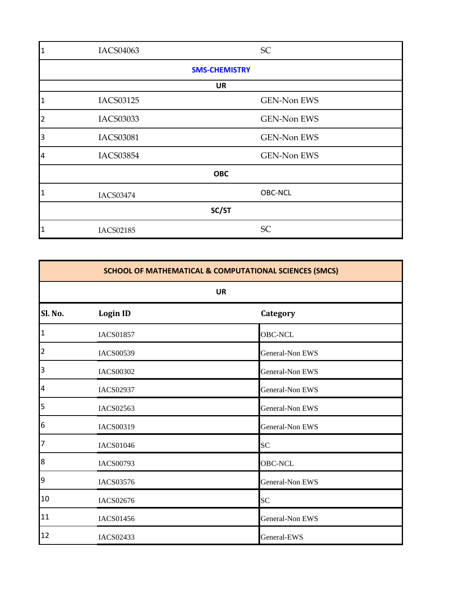| $\mathbf{1}$   | IACS04063            | SC                 |  |  |
|----------------|----------------------|--------------------|--|--|
|                | <b>SMS-CHEMISTRY</b> |                    |  |  |
|                |                      | <b>UR</b>          |  |  |
| 1              | IACS03125            | <b>GEN-Non EWS</b> |  |  |
| $\overline{2}$ | IACS03033            | <b>GEN-Non EWS</b> |  |  |
| 3              | <b>IACS03081</b>     | <b>GEN-Non EWS</b> |  |  |
| 4              | <b>IACS03854</b>     | <b>GEN-Non EWS</b> |  |  |
|                | <b>OBC</b>           |                    |  |  |
| 1              | IACS03474            | <b>OBC-NCL</b>     |  |  |
| SC/ST          |                      |                    |  |  |
| 1              | <b>IACS02185</b>     | SC                 |  |  |

| SCHOOL OF MATHEMATICAL & COMPUTATIONAL SCIENCES (SMCS) |                  |                        |  |
|--------------------------------------------------------|------------------|------------------------|--|
|                                                        | <b>UR</b>        |                        |  |
| Sl. No.                                                | <b>Login ID</b>  | Category               |  |
| 1                                                      | <b>IACS01857</b> | <b>OBC-NCL</b>         |  |
| $\vert$ <sup>2</sup>                                   | <b>IACS00539</b> | General-Non EWS        |  |
| $\overline{\phantom{a}}$                               | <b>IACS00302</b> | General-Non EWS        |  |
| $\overline{a}$                                         | <b>IACS02937</b> | General-Non EWS        |  |
| $\overline{\phantom{a}}$                               | IACS02563        | General-Non EWS        |  |
| 6                                                      | IACS00319        | <b>General-Non EWS</b> |  |
| $\overline{7}$                                         | <b>IACS01046</b> | SC                     |  |
| 8                                                      | <b>IACS00793</b> | <b>OBC-NCL</b>         |  |
| 9                                                      | IACS03576        | General-Non EWS        |  |
| 10                                                     | IACS02676        | <b>SC</b>              |  |
| 11                                                     | <b>IACS01456</b> | General-Non EWS        |  |
| 12                                                     | IACS02433        | General-EWS            |  |